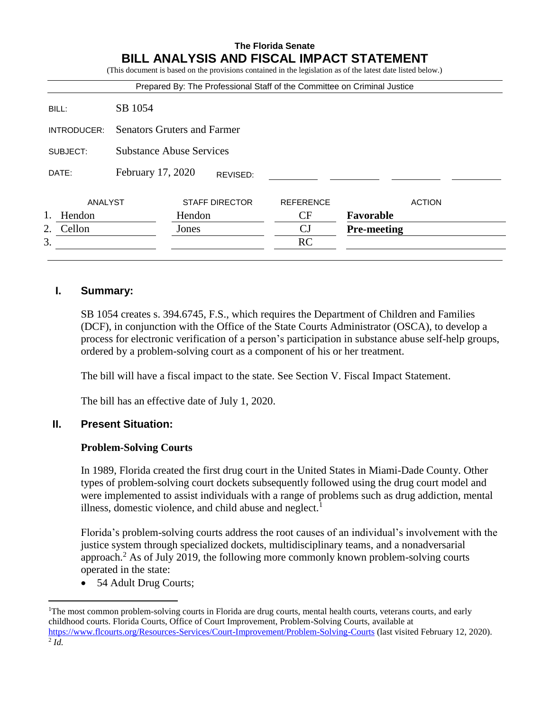# **The Florida Senate BILL ANALYSIS AND FISCAL IMPACT STATEMENT**

|                   |                                    |        |                       | Prepared By: The Professional Staff of the Committee on Criminal Justice |                    |               |
|-------------------|------------------------------------|--------|-----------------------|--------------------------------------------------------------------------|--------------------|---------------|
| BILL:             | SB 1054                            |        |                       |                                                                          |                    |               |
| INTRODUCER:       | <b>Senators Gruters and Farmer</b> |        |                       |                                                                          |                    |               |
| SUBJECT:          | <b>Substance Abuse Services</b>    |        |                       |                                                                          |                    |               |
| DATE:             | February 17, 2020                  |        | REVISED:              |                                                                          |                    |               |
| ANALYST           |                                    |        | <b>STAFF DIRECTOR</b> | <b>REFERENCE</b>                                                         |                    | <b>ACTION</b> |
| $1_{-}$<br>Hendon |                                    | Hendon |                       | CF                                                                       | Favorable          |               |
| Cellon<br>2.      |                                    | Jones  |                       | CJ                                                                       | <b>Pre-meeting</b> |               |
| 3.                |                                    |        |                       | <b>RC</b>                                                                |                    |               |

# **I. Summary:**

SB 1054 creates s. 394.6745, F.S., which requires the Department of Children and Families (DCF), in conjunction with the Office of the State Courts Administrator (OSCA), to develop a process for electronic verification of a person's participation in substance abuse self-help groups, ordered by a problem-solving court as a component of his or her treatment.

The bill will have a fiscal impact to the state. See Section V. Fiscal Impact Statement.

The bill has an effective date of July 1, 2020.

## **II. Present Situation:**

## **Problem-Solving Courts**

In 1989, Florida created the first drug court in the United States in Miami-Dade County. Other types of problem-solving court dockets subsequently followed using the drug court model and were implemented to assist individuals with a range of problems such as drug addiction, mental illness, domestic violence, and child abuse and neglect. $<sup>1</sup>$ </sup>

Florida's problem-solving courts address the root causes of an individual's involvement with the justice system through specialized dockets, multidisciplinary teams, and a nonadversarial approach.<sup>2</sup> As of July 2019, the following more commonly known problem-solving courts operated in the state:

• 54 Adult Drug Courts;

 $\overline{a}$ 

<sup>&</sup>lt;sup>1</sup>The most common problem-solving courts in Florida are drug courts, mental health courts, veterans courts, and early childhood courts. Florida Courts, Office of Court Improvement, Problem-Solving Courts, available at <https://www.flcourts.org/Resources-Services/Court-Improvement/Problem-Solving-Courts> (last visited February 12, 2020). 2 *Id.*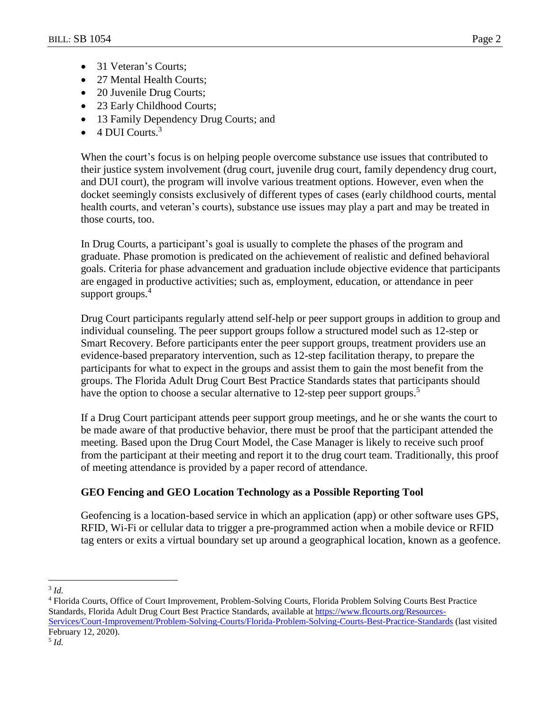- 31 Veteran's Courts:
- 27 Mental Health Courts;
- 20 Juvenile Drug Courts;
- 23 Early Childhood Courts;
- 13 Family Dependency Drug Courts; and
- $\bullet$  4 DUI Courts.<sup>3</sup>

When the court's focus is on helping people overcome substance use issues that contributed to their justice system involvement (drug court, juvenile drug court, family dependency drug court, and DUI court), the program will involve various treatment options. However, even when the docket seemingly consists exclusively of different types of cases (early childhood courts, mental health courts, and veteran's courts), substance use issues may play a part and may be treated in those courts, too.

In Drug Courts, a participant's goal is usually to complete the phases of the program and graduate. Phase promotion is predicated on the achievement of realistic and defined behavioral goals. Criteria for phase advancement and graduation include objective evidence that participants are engaged in productive activities; such as, employment, education, or attendance in peer support groups.<sup>4</sup>

Drug Court participants regularly attend self-help or peer support groups in addition to group and individual counseling. The peer support groups follow a structured model such as 12-step or Smart Recovery. Before participants enter the peer support groups, treatment providers use an evidence-based preparatory intervention, such as 12-step facilitation therapy, to prepare the participants for what to expect in the groups and assist them to gain the most benefit from the groups. The Florida Adult Drug Court Best Practice Standards states that participants should have the option to choose a secular alternative to 12-step peer support groups.<sup>5</sup>

If a Drug Court participant attends peer support group meetings, and he or she wants the court to be made aware of that productive behavior, there must be proof that the participant attended the meeting. Based upon the Drug Court Model, the Case Manager is likely to receive such proof from the participant at their meeting and report it to the drug court team. Traditionally, this proof of meeting attendance is provided by a paper record of attendance.

# **GEO Fencing and GEO Location Technology as a Possible Reporting Tool**

Geofencing is a location-based service in which an application (app) or other software uses GPS, RFID, Wi-Fi or cellular data to trigger a pre-programmed action when a mobile device or RFID tag enters or exits a virtual boundary set up around a geographical location, known as a geofence.

 $\overline{a}$ 3 *Id.*

<sup>4</sup> Florida Courts, Office of Court Improvement, Problem-Solving Courts, Florida Problem Solving Courts Best Practice Standards, Florida Adult Drug Court Best Practice Standards, available at [https://www.flcourts.org/Resources-](https://www.flcourts.org/Resources-Services/Court-Improvement/Problem-Solving-Courts/Florida-Problem-Solving-Courts-Best-Practice-Standards)[Services/Court-Improvement/Problem-Solving-Courts/Florida-Problem-Solving-Courts-Best-Practice-Standards](https://www.flcourts.org/Resources-Services/Court-Improvement/Problem-Solving-Courts/Florida-Problem-Solving-Courts-Best-Practice-Standards) (last visited February 12, 2020).

<sup>5</sup> *Id.*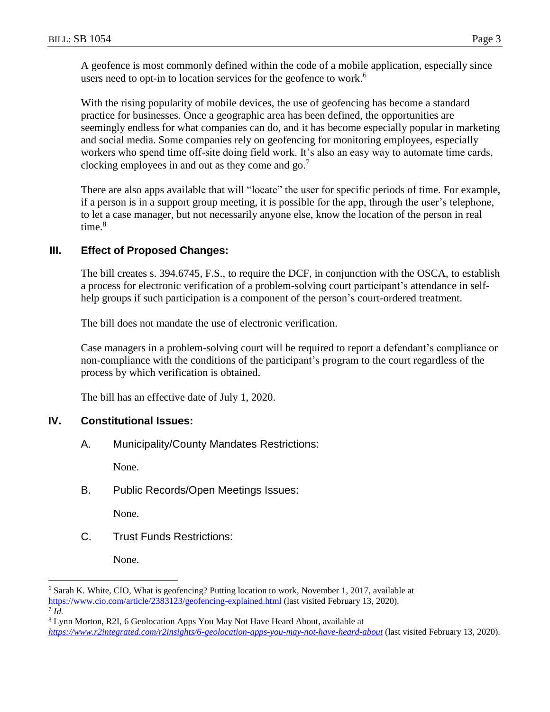A geofence is most commonly defined within the code of a mobile application, especially since users need to opt-in to location services for the geofence to work.<sup>6</sup>

With the rising popularity of mobile devices, the use of geofencing has become a standard practice for businesses. Once a geographic area has been defined, the opportunities are seemingly endless for what companies can do, and it has become especially popular in marketing and social media. Some companies rely on geofencing for monitoring employees, especially workers who spend time off-site doing field work. It's also an easy way to automate time cards, clocking employees in and out as they come and  $go$ .<sup>7</sup>

There are also apps available that will "locate" the user for specific periods of time. For example, if a person is in a support group meeting, it is possible for the app, through the user's telephone, to let a case manager, but not necessarily anyone else, know the location of the person in real time. $8$ 

# **III. Effect of Proposed Changes:**

The bill creates s. 394.6745, F.S., to require the DCF, in conjunction with the OSCA, to establish a process for electronic verification of a problem-solving court participant's attendance in selfhelp groups if such participation is a component of the person's court-ordered treatment.

The bill does not mandate the use of electronic verification.

Case managers in a problem-solving court will be required to report a defendant's compliance or non-compliance with the conditions of the participant's program to the court regardless of the process by which verification is obtained.

The bill has an effective date of July 1, 2020.

## **IV. Constitutional Issues:**

A. Municipality/County Mandates Restrictions:

None.

B. Public Records/Open Meetings Issues:

None.

C. Trust Funds Restrictions:

None.

 $\overline{a}$ 

<sup>6</sup> Sarah K. White, CIO, What is geofencing? Putting location to work, November 1, 2017, available at <https://www.cio.com/article/2383123/geofencing-explained.html> (last visited February 13, 2020). 7 *Id.*

<sup>8</sup> Lynn Morton, R2I, 6 Geolocation Apps You May Not Have Heard About, available at *<https://www.r2integrated.com/r2insights/6-geolocation-apps-you-may-not-have-heard-about>* (last visited February 13, 2020).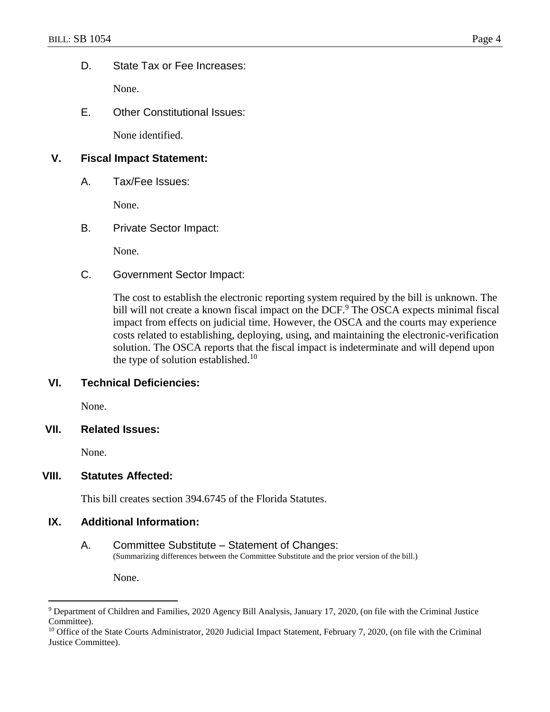D. State Tax or Fee Increases:

None.

E. Other Constitutional Issues:

None identified.

# **V. Fiscal Impact Statement:**

A. Tax/Fee Issues:

None.

# B. Private Sector Impact:

None.

C. Government Sector Impact:

The cost to establish the electronic reporting system required by the bill is unknown. The bill will not create a known fiscal impact on the DCF.<sup>9</sup> The OSCA expects minimal fiscal impact from effects on judicial time. However, the OSCA and the courts may experience costs related to establishing, deploying, using, and maintaining the electronic-verification solution. The OSCA reports that the fiscal impact is indeterminate and will depend upon the type of solution established.<sup>10</sup>

## **VI. Technical Deficiencies:**

None.

## **VII. Related Issues:**

None.

 $\overline{a}$ 

## **VIII. Statutes Affected:**

This bill creates section 394.6745 of the Florida Statutes.

## **IX. Additional Information:**

#### A. Committee Substitute – Statement of Changes: (Summarizing differences between the Committee Substitute and the prior version of the bill.)

None.

<sup>9</sup> Department of Children and Families, 2020 Agency Bill Analysis, January 17, 2020, (on file with the Criminal Justice Committee).

<sup>&</sup>lt;sup>10</sup> Office of the State Courts Administrator, 2020 Judicial Impact Statement, February 7, 2020, (on file with the Criminal Justice Committee).